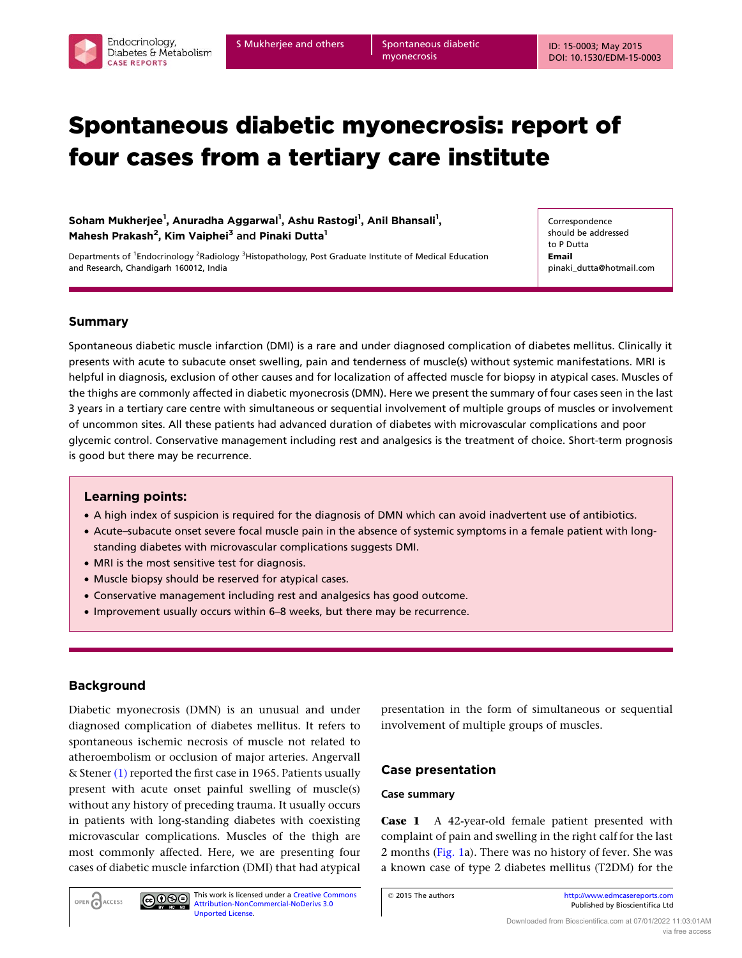# Spontaneous diabetic myonecrosis: report of four cases from a tertiary care institute

Soham Mukherjee<sup>1</sup>, Anuradha Aggarwal<sup>1</sup>, Ashu Rastogi<sup>1</sup>, Anil Bhansali<sup>1</sup>, Mahesh Prakash<sup>2</sup>, Kim Vaiphei<sup>3</sup> and Pinaki Dutta<sup>1</sup>

Departments of <sup>1</sup>Endocrinology <sup>2</sup>Radiology <sup>3</sup>Histopathology, Post Graduate Institute of Medical Education and Research, Chandigarh 160012, India

Correspondence should be addressed to P Dutta Email pinaki\_dutta@hotmail.com

## Summary

Spontaneous diabetic muscle infarction (DMI) is a rare and under diagnosed complication of diabetes mellitus. Clinically it presents with acute to subacute onset swelling, pain and tenderness of muscle(s) without systemic manifestations. MRI is helpful in diagnosis, exclusion of other causes and for localization of affected muscle for biopsy in atypical cases. Muscles of the thighs are commonly affected in diabetic myonecrosis (DMN). Here we present the summary of four cases seen in the last 3 years in a tertiary care centre with simultaneous or sequential involvement of multiple groups of muscles or involvement of uncommon sites. All these patients had advanced duration of diabetes with microvascular complications and poor glycemic control. Conservative management including rest and analgesics is the treatment of choice. Short-term prognosis is good but there may be recurrence.

## Learning points:

- † A high index of suspicion is required for the diagnosis of DMN which can avoid inadvertent use of antibiotics.
- † Acute–subacute onset severe focal muscle pain in the absence of systemic symptoms in a female patient with longstanding diabetes with microvascular complications suggests DMI.
- MRI is the most sensitive test for diagnosis.
- Muscle biopsy should be reserved for atypical cases.
- † Conservative management including rest and analgesics has good outcome.
- † Improvement usually occurs within 6–8 weeks, but there may be recurrence.

This work is licensed under a [Creative Commons](http://creativecommons.org/licenses/by-nc-nd/3.0/deed.en_GB) [Attribution-NonCommercial-NoDerivs 3.0](http://creativecommons.org/licenses/by-nc-nd/3.0/deed.en_GB)

## Background

OPEN CACCESS

Diabetic myonecrosis (DMN) is an unusual and under diagnosed complication of diabetes mellitus. It refers to spontaneous ischemic necrosis of muscle not related to atheroembolism or occlusion of major arteries. Angervall & Stener [\(1\)](#page-5-0) reported the first case in 1965. Patients usually present with acute onset painful swelling of muscle(s) without any history of preceding trauma. It usually occurs in patients with long-standing diabetes with coexisting microvascular complications. Muscles of the thigh are most commonly affected. Here, we are presenting four cases of diabetic muscle infarction (DMI) that had atypical

[Unported License.](http://creativecommons.org/licenses/by-nc-nd/3.0/deed.en_GB)

 $\bigcirc$  000

presentation in the form of simultaneous or sequential involvement of multiple groups of muscles.

## Case presentation

### Case summary

Case 1 A 42-year-old female patient presented with complaint of pain and swelling in the right calf for the last 2 months ([Fig. 1](#page-1-0)a). There was no history of fever. She was a known case of type 2 diabetes mellitus (T2DM) for the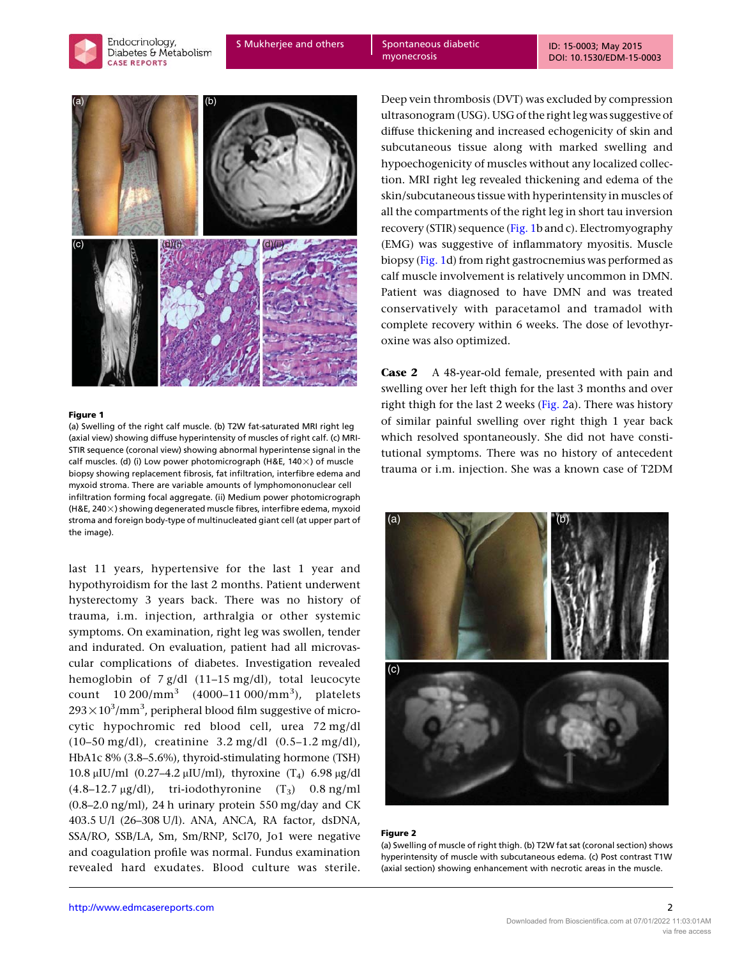<span id="page-1-0"></span>



#### Figure 1

(a) Swelling of the right calf muscle. (b) T2W fat-saturated MRI right leg (axial view) showing diffuse hyperintensity of muscles of right calf. (c) MRI-STIR sequence (coronal view) showing abnormal hyperintense signal in the calf muscles. (d) (i) Low power photomicrograph (H&E,  $140\times$ ) of muscle biopsy showing replacement fibrosis, fat infiltration, interfibre edema and myxoid stroma. There are variable amounts of lymphomononuclear cell infiltration forming focal aggregate. (ii) Medium power photomicrograph (H&E, 240 $\times$ ) showing degenerated muscle fibres, interfibre edema, myxoid stroma and foreign body-type of multinucleated giant cell (at upper part of the image).

last 11 years, hypertensive for the last 1 year and hypothyroidism for the last 2 months. Patient underwent hysterectomy 3 years back. There was no history of trauma, i.m. injection, arthralgia or other systemic symptoms. On examination, right leg was swollen, tender and indurated. On evaluation, patient had all microvascular complications of diabetes. Investigation revealed hemoglobin of 7 g/dl (11–15 mg/dl), total leucocyte count 10 200/mm<sup>3</sup> (4000–11 000/mm<sup>3</sup>), platelets  $293\times10^3/\mathrm{mm}^3$ , peripheral blood film suggestive of microcytic hypochromic red blood cell, urea 72 mg/dl (10–50 mg/dl), creatinine 3.2 mg/dl (0.5–1.2 mg/dl), HbA1c 8% (3.8–5.6%), thyroid-stimulating hormone (TSH) 10.8 μIU/ml (0.27–4.2 μIU/ml), thyroxine (T<sub>4</sub>) 6.98 μg/dl  $(4.8-12.7 \mu g/dl)$ , tri-iodothyronine  $(T_3)$  0.8 ng/ml (0.8–2.0 ng/ml), 24 h urinary protein 550 mg/day and CK 403.5 U/l (26–308 U/l). ANA, ANCA, RA factor, dsDNA, SSA/RO, SSB/LA, Sm, Sm/RNP, Scl70, Jo1 were negative and coagulation profile was normal. Fundus examination revealed hard exudates. Blood culture was sterile. Deep vein thrombosis (DVT) was excluded by compression ultrasonogram (USG). USG of the right leg was suggestive of diffuse thickening and increased echogenicity of skin and subcutaneous tissue along with marked swelling and hypoechogenicity of muscles without any localized collection. MRI right leg revealed thickening and edema of the skin/subcutaneous tissue with hyperintensity in muscles of all the compartments of the right leg in short tau inversion recovery (STIR) sequence (Fig. 1b and c). Electromyography (EMG) was suggestive of inflammatory myositis. Muscle biopsy (Fig. 1d) from right gastrocnemius was performed as calf muscle involvement is relatively uncommon in DMN. Patient was diagnosed to have DMN and was treated conservatively with paracetamol and tramadol with complete recovery within 6 weeks. The dose of levothyroxine was also optimized.

Case 2 A 48-year-old female, presented with pain and swelling over her left thigh for the last 3 months and over right thigh for the last 2 weeks (Fig. 2a). There was history of similar painful swelling over right thigh 1 year back which resolved spontaneously. She did not have constitutional symptoms. There was no history of antecedent trauma or i.m. injection. She was a known case of T2DM



#### Figure 2

(a) Swelling of muscle of right thigh. (b) T2W fat sat (coronal section) shows hyperintensity of muscle with subcutaneous edema. (c) Post contrast T1W (axial section) showing enhancement with necrotic areas in the muscle.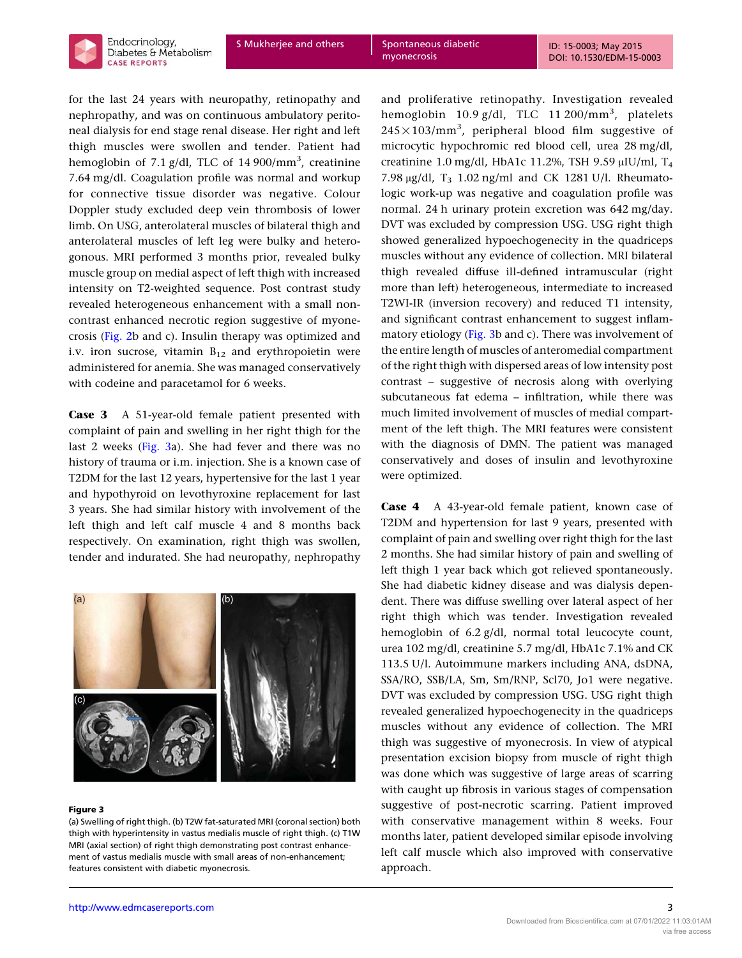

myonecrosis

for the last 24 years with neuropathy, retinopathy and nephropathy, and was on continuous ambulatory peritoneal dialysis for end stage renal disease. Her right and left thigh muscles were swollen and tender. Patient had hemoglobin of 7.1 g/dl, TLC of 14 900/mm $^3$ , creatinine 7.64 mg/dl. Coagulation profile was normal and workup for connective tissue disorder was negative. Colour Doppler study excluded deep vein thrombosis of lower limb. On USG, anterolateral muscles of bilateral thigh and anterolateral muscles of left leg were bulky and heterogonous. MRI performed 3 months prior, revealed bulky muscle group on medial aspect of left thigh with increased intensity on T2-weighted sequence. Post contrast study revealed heterogeneous enhancement with a small noncontrast enhanced necrotic region suggestive of myonecrosis [\(Fig. 2](#page-1-0)b and c). Insulin therapy was optimized and i.v. iron sucrose, vitamin  $B_{12}$  and erythropoietin were administered for anemia. She was managed conservatively with codeine and paracetamol for 6 weeks.

Case 3 A 51-year-old female patient presented with complaint of pain and swelling in her right thigh for the last 2 weeks (Fig. 3a). She had fever and there was no history of trauma or i.m. injection. She is a known case of T2DM for the last 12 years, hypertensive for the last 1 year and hypothyroid on levothyroxine replacement for last 3 years. She had similar history with involvement of the left thigh and left calf muscle 4 and 8 months back respectively. On examination, right thigh was swollen, tender and indurated. She had neuropathy, nephropathy



#### Figure 3

(a) Swelling of right thigh. (b) T2W fat-saturated MRI (coronal section) both thigh with hyperintensity in vastus medialis muscle of right thigh. (c) T1W MRI (axial section) of right thigh demonstrating post contrast enhancement of vastus medialis muscle with small areas of non-enhancement; features consistent with diabetic myonecrosis.

and proliferative retinopathy. Investigation revealed hemoglobin 10.9 g/dl, TLC 11 200/mm<sup>3</sup>, platelets  $245 \times 103/\text{mm}^3$ , peripheral blood film suggestive of microcytic hypochromic red blood cell, urea 28 mg/dl, creatinine 1.0 mg/dl, HbA1c 11.2%, TSH 9.59  $\mu$ IU/ml, T<sub>4</sub> 7.98  $\mu$ g/dl, T<sub>3</sub> 1.02 ng/ml and CK 1281 U/l. Rheumatologic work-up was negative and coagulation profile was normal. 24 h urinary protein excretion was 642 mg/day. DVT was excluded by compression USG. USG right thigh showed generalized hypoechogenecity in the quadriceps muscles without any evidence of collection. MRI bilateral thigh revealed diffuse ill-defined intramuscular (right more than left) heterogeneous, intermediate to increased T2WI-IR (inversion recovery) and reduced T1 intensity, and significant contrast enhancement to suggest inflammatory etiology (Fig. 3b and c). There was involvement of the entire length of muscles of anteromedial compartment of the right thigh with dispersed areas of low intensity post contrast – suggestive of necrosis along with overlying subcutaneous fat edema – infiltration, while there was much limited involvement of muscles of medial compartment of the left thigh. The MRI features were consistent with the diagnosis of DMN. The patient was managed conservatively and doses of insulin and levothyroxine were optimized.

Case 4 A 43-year-old female patient, known case of T2DM and hypertension for last 9 years, presented with complaint of pain and swelling over right thigh for the last 2 months. She had similar history of pain and swelling of left thigh 1 year back which got relieved spontaneously. She had diabetic kidney disease and was dialysis dependent. There was diffuse swelling over lateral aspect of her right thigh which was tender. Investigation revealed hemoglobin of 6.2 g/dl, normal total leucocyte count, urea 102 mg/dl, creatinine 5.7 mg/dl, HbA1c 7.1% and CK 113.5 U/l. Autoimmune markers including ANA, dsDNA, SSA/RO, SSB/LA, Sm, Sm/RNP, Scl70, Jo1 were negative. DVT was excluded by compression USG. USG right thigh revealed generalized hypoechogenecity in the quadriceps muscles without any evidence of collection. The MRI thigh was suggestive of myonecrosis. In view of atypical presentation excision biopsy from muscle of right thigh was done which was suggestive of large areas of scarring with caught up fibrosis in various stages of compensation suggestive of post-necrotic scarring. Patient improved with conservative management within 8 weeks. Four months later, patient developed similar episode involving left calf muscle which also improved with conservative approach.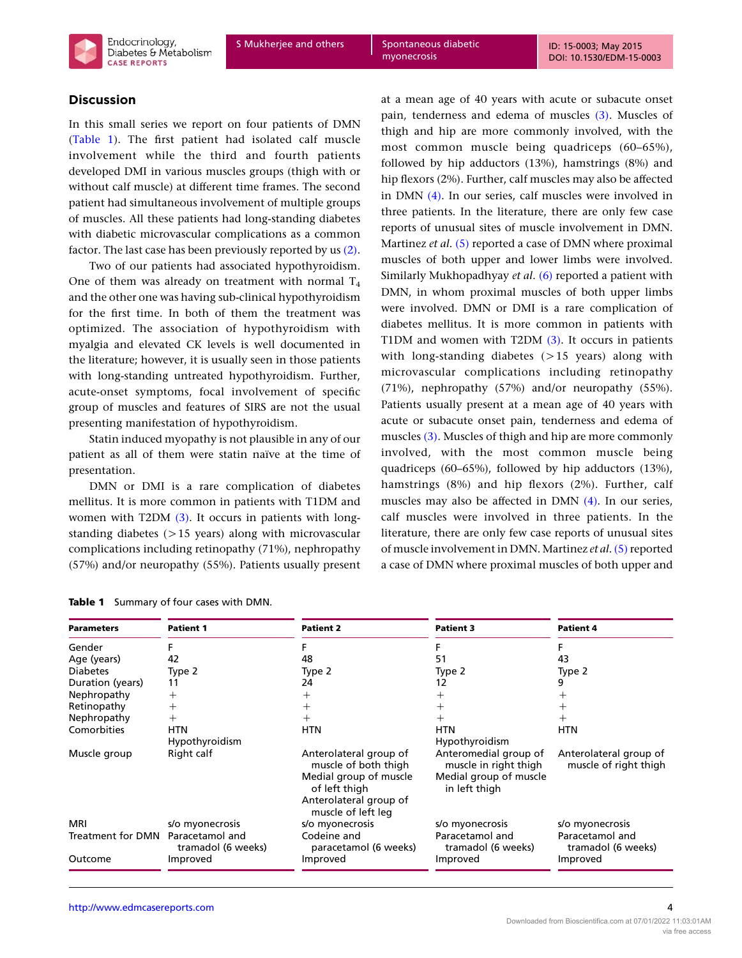# Discussion

In this small series we report on four patients of DMN (Table 1). The first patient had isolated calf muscle involvement while the third and fourth patients developed DMI in various muscles groups (thigh with or without calf muscle) at different time frames. The second patient had simultaneous involvement of multiple groups of muscles. All these patients had long-standing diabetes with diabetic microvascular complications as a common factor. The last case has been previously reported by us [\(2\)](#page-5-0).

Two of our patients had associated hypothyroidism. One of them was already on treatment with normal  $T_4$ and the other one was having sub-clinical hypothyroidism for the first time. In both of them the treatment was optimized. The association of hypothyroidism with myalgia and elevated CK levels is well documented in the literature; however, it is usually seen in those patients with long-standing untreated hypothyroidism. Further, acute-onset symptoms, focal involvement of specific group of muscles and features of SIRS are not the usual presenting manifestation of hypothyroidism.

Statin induced myopathy is not plausible in any of our patient as all of them were statin naïve at the time of presentation.

DMN or DMI is a rare complication of diabetes mellitus. It is more common in patients with T1DM and women with T2DM [\(3\)](#page-5-0). It occurs in patients with longstanding diabetes  $(>15$  years) along with microvascular complications including retinopathy (71%), nephropathy (57%) and/or neuropathy (55%). Patients usually present

at a mean age of 40 years with acute or subacute onset pain, tenderness and edema of muscles [\(3\).](#page-5-0) Muscles of thigh and hip are more commonly involved, with the most common muscle being quadriceps (60–65%), followed by hip adductors (13%), hamstrings (8%) and hip flexors (2%). Further, calf muscles may also be affected in DMN [\(4\)](#page-5-0). In our series, calf muscles were involved in three patients. In the literature, there are only few case reports of unusual sites of muscle involvement in DMN. Martinez et al. [\(5\)](#page-5-0) reported a case of DMN where proximal muscles of both upper and lower limbs were involved. Similarly Mukhopadhyay et al. [\(6\)](#page-5-0) reported a patient with DMN, in whom proximal muscles of both upper limbs were involved. DMN or DMI is a rare complication of diabetes mellitus. It is more common in patients with T1DM and women with T2DM [\(3\)](#page-5-0). It occurs in patients with long-standing diabetes  $(>15$  years) along with microvascular complications including retinopathy (71%), nephropathy (57%) and/or neuropathy (55%). Patients usually present at a mean age of 40 years with acute or subacute onset pain, tenderness and edema of muscles [\(3\)](#page-5-0). Muscles of thigh and hip are more commonly involved, with the most common muscle being quadriceps (60–65%), followed by hip adductors (13%), hamstrings (8%) and hip flexors (2%). Further, calf muscles may also be affected in DMN [\(4\)](#page-5-0). In our series, calf muscles were involved in three patients. In the literature, there are only few case reports of unusual sites of muscle involvement in DMN. Martinez *et al.* [\(5\)](#page-5-0) reported a case of DMN where proximal muscles of both upper and

| <b>Parameters</b>                 | <b>Patient 1</b>      | <b>Patient 2</b>                               | <b>Patient 3</b>                               | <b>Patient 4</b>                                |  |
|-----------------------------------|-----------------------|------------------------------------------------|------------------------------------------------|-------------------------------------------------|--|
| Gender                            |                       |                                                |                                                |                                                 |  |
| Age (years)                       | 42                    | 48                                             | 51                                             | 43                                              |  |
| <b>Diabetes</b>                   | Type 2                | Type 2                                         | Type 2                                         | Type 2                                          |  |
| Duration (years)                  | 11                    | 24                                             | 12                                             |                                                 |  |
| Nephropathy                       | $\, + \,$             | $^+$                                           | $^{+}$                                         |                                                 |  |
| Retinopathy                       | $\, + \,$             | $^+$                                           | $^+$                                           |                                                 |  |
| Nephropathy                       | $^{+}$                | $\pm$                                          | $^{+}$                                         |                                                 |  |
| Comorbities                       | <b>HTN</b>            | <b>HTN</b>                                     | <b>HTN</b>                                     | <b>HTN</b>                                      |  |
|                                   | <b>Hypothyroidism</b> |                                                | Hypothyroidism                                 |                                                 |  |
| Muscle group                      | Right calf            | Anterolateral group of<br>muscle of both thigh | Anteromedial group of<br>muscle in right thigh | Anterolateral group of<br>muscle of right thigh |  |
|                                   |                       | Medial group of muscle<br>of left thigh        | Medial group of muscle<br>in left thigh        |                                                 |  |
|                                   |                       | Anterolateral group of<br>muscle of left leg   |                                                |                                                 |  |
| MRI                               | s/o myonecrosis       | s/o myonecrosis                                | s/o myonecrosis                                | s/o myonecrosis                                 |  |
| Treatment for DMN Paracetamol and | tramadol (6 weeks)    | Codeine and<br>paracetamol (6 weeks)           | Paracetamol and<br>tramadol (6 weeks)          | Paracetamol and<br>tramadol (6 weeks)           |  |
| Outcome                           | Improved              | Improved                                       | Improved                                       | Improved                                        |  |

| Table 1 Summary of four cases with DMN. |  |  |
|-----------------------------------------|--|--|
|                                         |  |  |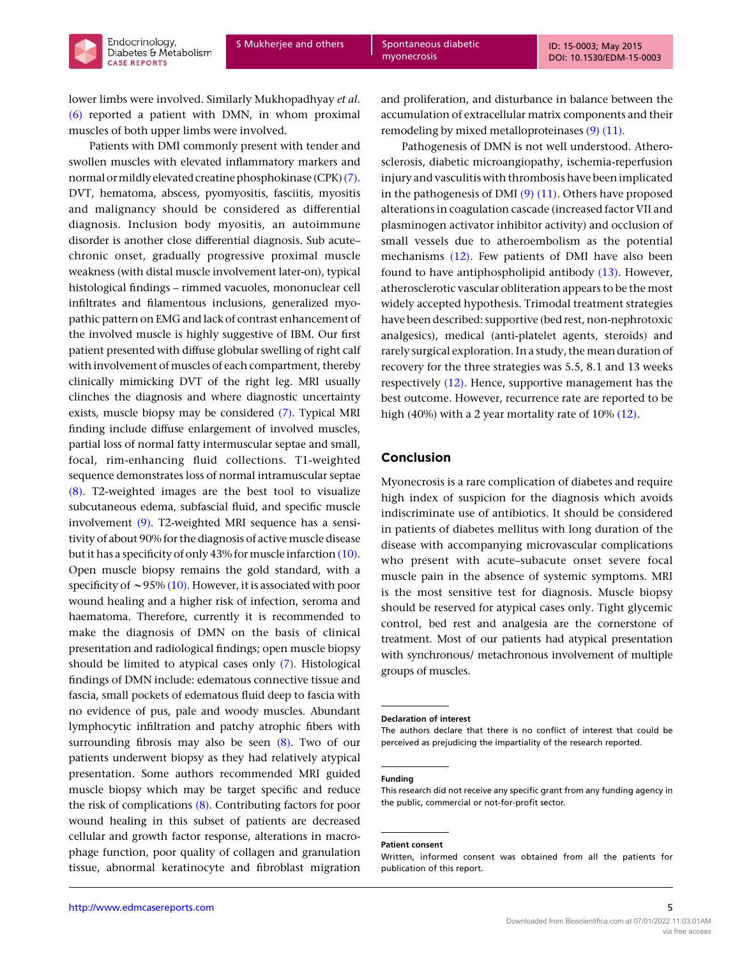lower limbs were involved. Similarly Mukhopadhyay et al. [\(6\)](#page-5-0) reported a patient with DMN, in whom proximal muscles of both upper limbs were involved.

Endocrinology. Diabetes & Metabolism

**CASE REPORTS** 

Patients with DMI commonly present with tender and swollen muscles with elevated inflammatory markers and normal or mildly elevated creatine phosphokinase (CPK)[\(7\)](#page-5-0). DVT, hematoma, abscess, pyomyositis, fasciitis, myositis and malignancy should be considered as differential diagnosis. Inclusion body myositis, an autoimmune disorder is another close differential diagnosis. Sub acute– chronic onset, gradually progressive proximal muscle weakness (with distal muscle involvement later-on), typical histological findings – rimmed vacuoles, mononuclear cell infiltrates and filamentous inclusions, generalized myopathic pattern on EMG and lack of contrast enhancement of the involved muscle is highly suggestive of IBM. Our first patient presented with diffuse globular swelling of right calf with involvement of muscles of each compartment, thereby clinically mimicking DVT of the right leg. MRI usually clinches the diagnosis and where diagnostic uncertainty exists, muscle biopsy may be considered [\(7\)](#page-5-0). Typical MRI finding include diffuse enlargement of involved muscles, partial loss of normal fatty intermuscular septae and small, focal, rim-enhancing fluid collections. T1-weighted sequence demonstrates loss of normal intramuscular septae [\(8\)](#page-5-0). T2-weighted images are the best tool to visualize subcutaneous edema, subfascial fluid, and specific muscle involvement [\(9\)](#page-5-0). T2-weighted MRI sequence has a sensitivity of about 90% for the diagnosis of active muscle disease but it has a specificity of only 43% for muscle infarction  $(10)$ . Open muscle biopsy remains the gold standard, with a specificity of  $\sim$  95% [\(10\)](#page-5-0). However, it is associated with poor wound healing and a higher risk of infection, seroma and haematoma. Therefore, currently it is recommended to make the diagnosis of DMN on the basis of clinical presentation and radiological findings; open muscle biopsy should be limited to atypical cases only [\(7\)](#page-5-0). Histological findings of DMN include: edematous connective tissue and fascia, small pockets of edematous fluid deep to fascia with no evidence of pus, pale and woody muscles. Abundant lymphocytic infiltration and patchy atrophic fibers with surrounding fibrosis may also be seen  $(8)$ . Two of our patients underwent biopsy as they had relatively atypical presentation. Some authors recommended MRI guided muscle biopsy which may be target specific and reduce the risk of complications [\(8\).](#page-5-0) Contributing factors for poor wound healing in this subset of patients are decreased cellular and growth factor response, alterations in macrophage function, poor quality of collagen and granulation tissue, abnormal keratinocyte and fibroblast migration

and proliferation, and disturbance in balance between the accumulation of extracellular matrix components and their remodeling by mixed metalloproteinases [\(9\) \(11\).](#page-5-0)

Pathogenesis of DMN is not well understood. Atherosclerosis, diabetic microangiopathy, ischemia-reperfusion injury and vasculitis with thrombosis have been implicated in the pathogenesis of DMI  $(9)$  (11). Others have proposed alterations in coagulation cascade (increased factor VII and plasminogen activator inhibitor activity) and occlusion of small vessels due to atheroembolism as the potential mechanisms [\(12\)](#page-5-0). Few patients of DMI have also been found to have antiphospholipid antibody [\(13\)](#page-5-0). However, atherosclerotic vascular obliteration appears to be the most widely accepted hypothesis. Trimodal treatment strategies have been described: supportive (bed rest, non-nephrotoxic analgesics), medical (anti-platelet agents, steroids) and rarely surgical exploration. In a study, the mean duration of recovery for the three strategies was 5.5, 8.1 and 13 weeks respectively [\(12\)](#page-5-0). Hence, supportive management has the best outcome. However, recurrence rate are reported to be high (40%) with a 2 year mortality rate of 10% [\(12\).](#page-5-0)

## Conclusion

Myonecrosis is a rare complication of diabetes and require high index of suspicion for the diagnosis which avoids indiscriminate use of antibiotics. It should be considered in patients of diabetes mellitus with long duration of the disease with accompanying microvascular complications who present with acute–subacute onset severe focal muscle pain in the absence of systemic symptoms. MRI is the most sensitive test for diagnosis. Muscle biopsy should be reserved for atypical cases only. Tight glycemic control, bed rest and analgesia are the cornerstone of treatment. Most of our patients had atypical presentation with synchronous/ metachronous involvement of multiple groups of muscles.

#### Funding

#### Patient consent

Declaration of interest

The authors declare that there is no conflict of interest that could be perceived as prejudicing the impartiality of the research reported.

This research did not receive any specific grant from any funding agency in the public, commercial or not-for-profit sector.

Written, informed consent was obtained from all the patients for publication of this report.